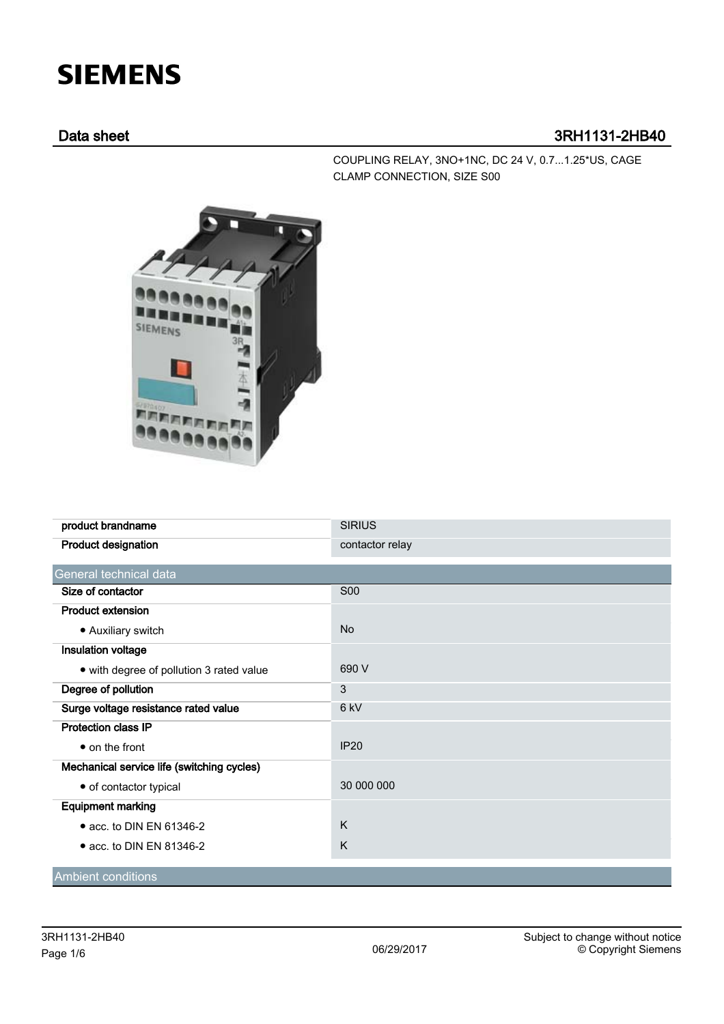## **SIEMENS**

## Data sheet 3RH1131-2HB40

COUPLING RELAY, 3NO+1NC, DC 24 V, 0.7...1.25\*US, CAGE CLAMP CONNECTION, SIZE S00



| product brandname                          | <b>SIRIUS</b>   |  |  |
|--------------------------------------------|-----------------|--|--|
| <b>Product designation</b>                 | contactor relay |  |  |
| General technical data                     |                 |  |  |
| Size of contactor                          | <b>S00</b>      |  |  |
| <b>Product extension</b>                   |                 |  |  |
| • Auxiliary switch                         | <b>No</b>       |  |  |
| Insulation voltage                         |                 |  |  |
| • with degree of pollution 3 rated value   | 690 V           |  |  |
| Degree of pollution                        | 3               |  |  |
| Surge voltage resistance rated value       | 6 kV            |  |  |
| <b>Protection class IP</b>                 |                 |  |  |
| • on the front                             | <b>IP20</b>     |  |  |
| Mechanical service life (switching cycles) |                 |  |  |
| • of contactor typical                     | 30 000 000      |  |  |
| <b>Equipment marking</b>                   |                 |  |  |
| • acc. to DIN EN 61346-2                   | K               |  |  |
| • acc. to DIN EN 81346-2                   | K               |  |  |
| <b>Ambient conditions</b>                  |                 |  |  |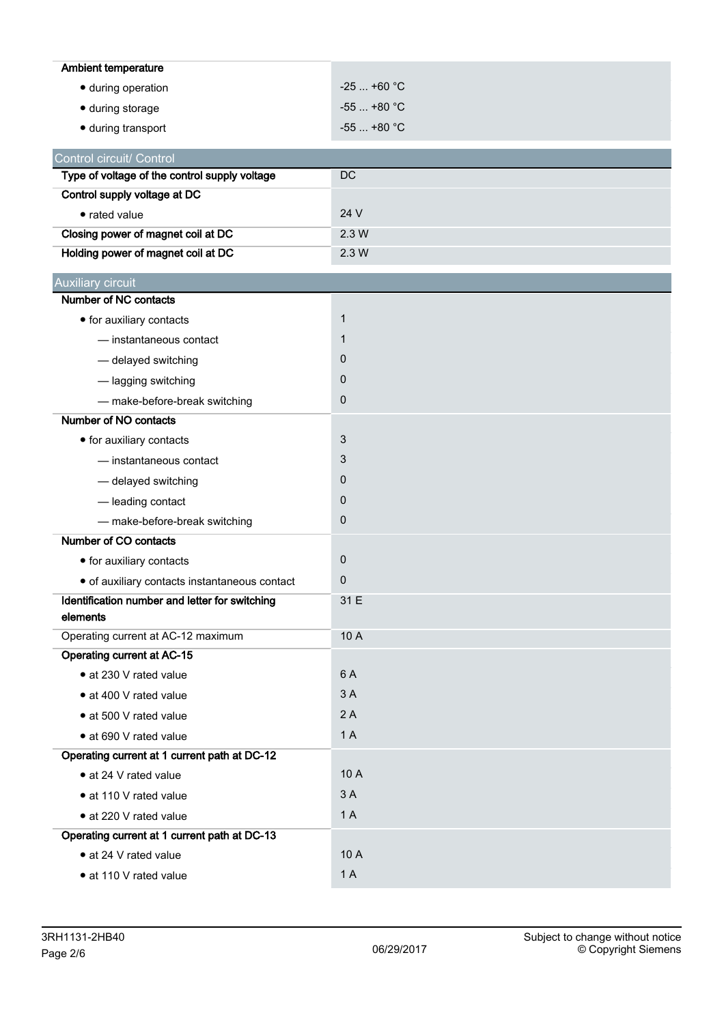| <b>Ambient temperature</b>                     |              |
|------------------------------------------------|--------------|
| · during operation                             | $-25+60$ °C  |
| · during storage                               | $-55$ +80 °C |
| · during transport                             | $-55$ +80 °C |
| Control circuit/ Control                       |              |
| Type of voltage of the control supply voltage  | DC           |
| Control supply voltage at DC                   |              |
| • rated value                                  | 24 V         |
| Closing power of magnet coil at DC             | 2.3W         |
| Holding power of magnet coil at DC             | 2.3W         |
| <b>Auxiliary circuit</b>                       |              |
| Number of NC contacts                          |              |
| • for auxiliary contacts                       | $\mathbf{1}$ |
| - instantaneous contact                        | 1            |
| - delayed switching                            | 0            |
| - lagging switching                            | 0            |
| - make-before-break switching                  | 0            |
| Number of NO contacts                          |              |
| • for auxiliary contacts                       | 3            |
| - instantaneous contact                        | 3            |
| - delayed switching                            | 0            |
| - leading contact                              | 0            |
| - make-before-break switching                  | 0            |
| Number of CO contacts                          |              |
| • for auxiliary contacts                       | 0            |
| · of auxiliary contacts instantaneous contact  | 0            |
| Identification number and letter for switching | 31 E         |
| elements                                       |              |
| Operating current at AC-12 maximum             | 10 A         |
| <b>Operating current at AC-15</b>              |              |
| · at 230 V rated value                         | 6 A          |
| • at 400 V rated value                         | 3A           |
| • at 500 V rated value                         | 2A           |
| • at 690 V rated value                         | 1 A          |
| Operating current at 1 current path at DC-12   |              |
| • at 24 V rated value                          | 10 A         |
| • at 110 V rated value                         | 3A           |
| • at 220 V rated value                         | 1A           |
| Operating current at 1 current path at DC-13   |              |
| · at 24 V rated value                          | 10 A         |
| • at 110 V rated value                         | 1A           |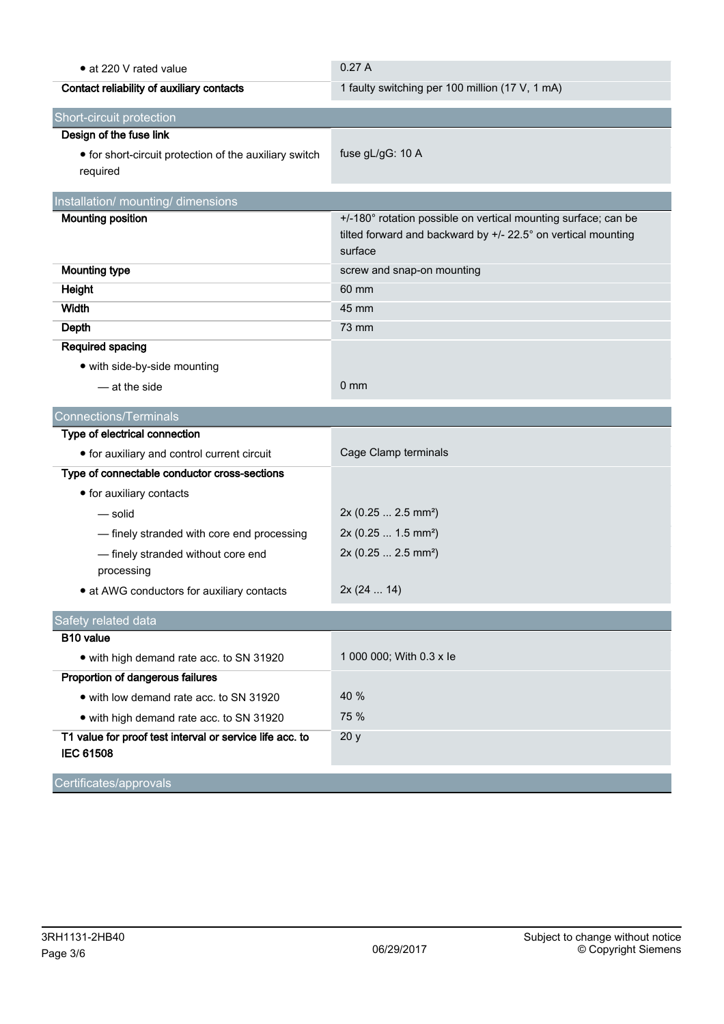| • at 220 V rated value                                                       | 0.27A                                                                                                                                      |  |  |  |
|------------------------------------------------------------------------------|--------------------------------------------------------------------------------------------------------------------------------------------|--|--|--|
| Contact reliability of auxiliary contacts                                    | 1 faulty switching per 100 million (17 V, 1 mA)                                                                                            |  |  |  |
| Short-circuit protection                                                     |                                                                                                                                            |  |  |  |
| Design of the fuse link                                                      |                                                                                                                                            |  |  |  |
| • for short-circuit protection of the auxiliary switch<br>required           | fuse gL/gG: 10 A                                                                                                                           |  |  |  |
| Installation/ mounting/ dimensions                                           |                                                                                                                                            |  |  |  |
| <b>Mounting position</b>                                                     | +/-180° rotation possible on vertical mounting surface; can be<br>tilted forward and backward by +/- 22.5° on vertical mounting<br>surface |  |  |  |
| <b>Mounting type</b>                                                         | screw and snap-on mounting                                                                                                                 |  |  |  |
| Height                                                                       | 60 mm                                                                                                                                      |  |  |  |
| Width                                                                        | 45 mm                                                                                                                                      |  |  |  |
| <b>Depth</b>                                                                 | 73 mm                                                                                                                                      |  |  |  |
| Required spacing                                                             |                                                                                                                                            |  |  |  |
| • with side-by-side mounting                                                 |                                                                                                                                            |  |  |  |
| - at the side                                                                | $0 \text{ mm}$                                                                                                                             |  |  |  |
| <b>Connections/Terminals</b>                                                 |                                                                                                                                            |  |  |  |
| Type of electrical connection                                                |                                                                                                                                            |  |  |  |
| • for auxiliary and control current circuit                                  | Cage Clamp terminals                                                                                                                       |  |  |  |
| Type of connectable conductor cross-sections                                 |                                                                                                                                            |  |  |  |
| • for auxiliary contacts                                                     |                                                                                                                                            |  |  |  |
| — solid                                                                      | 2x (0.25  2.5 mm <sup>2</sup> )                                                                                                            |  |  |  |
| - finely stranded with core end processing                                   | 2x (0.25  1.5 mm <sup>2</sup> )                                                                                                            |  |  |  |
| - finely stranded without core end<br>processing                             | 2x (0.25  2.5 mm <sup>2</sup> )                                                                                                            |  |  |  |
| • at AWG conductors for auxiliary contacts                                   | 2x(2414)                                                                                                                                   |  |  |  |
| Safety related data                                                          |                                                                                                                                            |  |  |  |
| B10 value                                                                    |                                                                                                                                            |  |  |  |
| • with high demand rate acc. to SN 31920                                     | 1 000 000; With 0.3 x le                                                                                                                   |  |  |  |
| Proportion of dangerous failures                                             |                                                                                                                                            |  |  |  |
| • with low demand rate acc. to SN 31920                                      | 40 %                                                                                                                                       |  |  |  |
| • with high demand rate acc. to SN 31920                                     | 75 %                                                                                                                                       |  |  |  |
| T1 value for proof test interval or service life acc. to<br><b>IEC 61508</b> | 20y                                                                                                                                        |  |  |  |
| Certificates/approvals                                                       |                                                                                                                                            |  |  |  |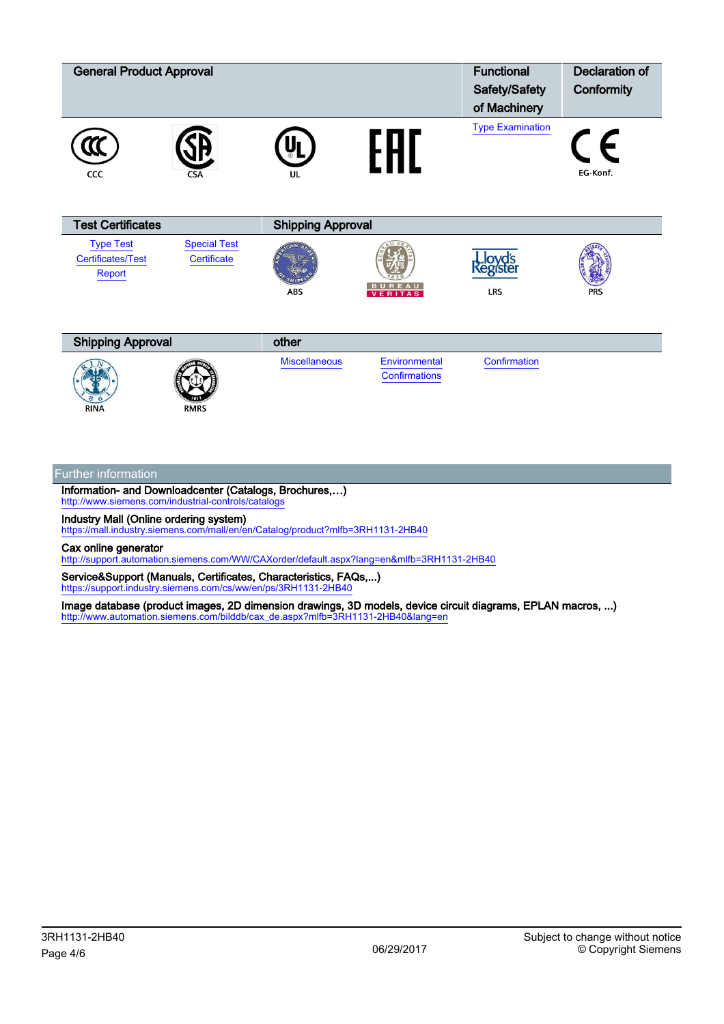| <b>General Product Approval</b>                        |                                    |                          |                                | <b>Functional</b><br>Safety/Safety<br>of Machinery | <b>Declaration of</b><br>Conformity |  |
|--------------------------------------------------------|------------------------------------|--------------------------|--------------------------------|----------------------------------------------------|-------------------------------------|--|
| CCC                                                    | <b>CSA</b>                         | UL                       | FHL                            | <b>Type Examination</b>                            | $\vdash$<br>EG-Konf.                |  |
| <b>Test Certificates</b>                               |                                    | <b>Shipping Approval</b> |                                |                                                    |                                     |  |
| <b>Type Test</b><br><b>Certificates/Test</b><br>Report | <b>Special Test</b><br>Certificate | <b>ABS</b>               | <b>BUREAU</b>                  | LRS                                                | <b>PRS</b>                          |  |
| <b>Shipping Approval</b>                               |                                    | other                    |                                |                                                    |                                     |  |
| <b>RINA</b>                                            | <b>RMRS</b>                        | <b>Miscellaneous</b>     | Environmental<br>Confirmations | Confirmation                                       |                                     |  |

## Further information

Information- and Downloadcenter (Catalogs, Brochures,…) http://www.siemens.com/industrial-controls/catal

Industry Mall (Online ordering system)

<https://mall.industry.siemens.com/mall/en/en/Catalog/product?mlfb=3RH1131-2HB40>

Cax online generator

<http://support.automation.siemens.com/WW/CAXorder/default.aspx?lang=en&mlfb=3RH1131-2HB40>

Service&Support (Manuals, Certificates, Characteristics, FAQs,...) <https://support.industry.siemens.com/cs/ww/en/ps/3RH1131-2HB40>

Image database (product images, 2D dimension drawings, 3D models, device circuit diagrams, EPLAN macros, ...) [http://www.automation.siemens.com/bilddb/cax\\_de.aspx?mlfb=3RH1131-2HB40&lang=en](http://www.automation.siemens.com/bilddb/cax_de.aspx?mlfb=3RH1131-2HB40&lang=en)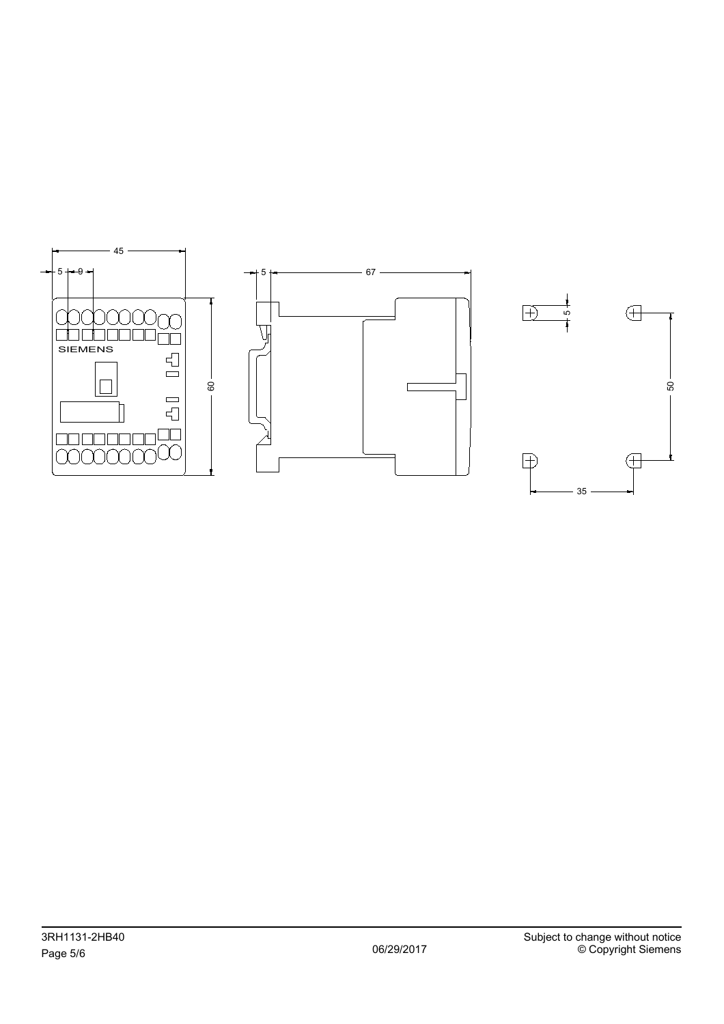